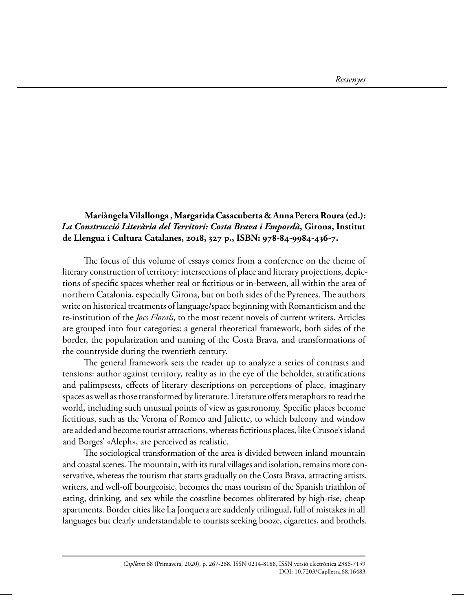## **Mariàngela Vilallonga , Margarida Casacuberta & Anna Perera Roura (ed.):**  *La Construcció Literària del Territori: Costa Brava i Empordà***, Girona, Institut de Llengua i Cultura Catalanes, 2018, 327 p., ISBN: 978-84-9984-436-7.**

The focus of this volume of essays comes from a conference on the theme of literary construction of territory: intersections of place and literary projections, depictions of specific spaces whether real or fictitious or in-between, all within the area of northern Catalonia, especially Girona, but on both sides of the Pyrenees. The authors write on historical treatments of language/space beginning with Romanticism and the re-institution of the *Jocs Florals*, to the most recent novels of current writers. Articles are grouped into four categories: a general theoretical framework, both sides of the border, the popularization and naming of the Costa Brava, and transformations of the countryside during the twentieth century.

The general framework sets the reader up to analyze a series of contrasts and tensions: author against territory, reality as in the eye of the beholder, stratifications and palimpsests, effects of literary descriptions on perceptions of place, imaginary spaces as well as those transformed by literature. Literature offers metaphors to read the world, including such unusual points of view as gastronomy. Specific places become fictitious, such as the Verona of Romeo and Juliette, to which balcony and window are added and become tourist attractions, whereas fictitious places, like Crusoe's island and Borges' «Aleph», are perceived as realistic.

The sociological transformation of the area is divided between inland mountain and coastal scenes. The mountain, with its rural villages and isolation, remains more conservative, whereas the tourism that starts gradually on the Costa Brava, attracting artists, writers, and well-off bourgeoisie, becomes the mass tourism of the Spanish triathlon of eating, drinking, and sex while the coastline becomes obliterated by high-rise, cheap apartments. Border cities like La Jonquera are suddenly trilingual, full of mistakes in all languages but clearly understandable to tourists seeking booze, cigarettes, and brothels.